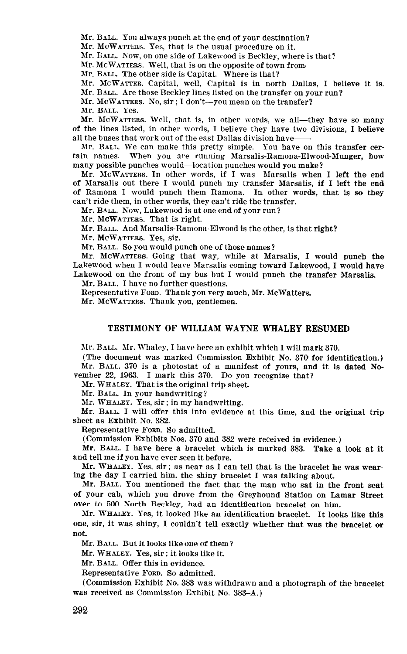Mr. BALL. You always punch at the end of your destination?

Mr. MCWATTERS. Yes, that is the usual procedure on it.

Mr. BALL. Now, on one side of Lakewood is Beckley, where is that?

Mr. McWATTERS. Well, that is on the opposite of town from-

Mr. BALL. The other side is Capital. Where is that?

Mr. MCWATTER. Capital, well, Capital is in north Dallas, I believe it is.

Mr. BALL. Are those Beckley lines listed on the transfer on your run?

Mr. McWATTERS. No, sir ; I don't-you mean on the transfer?

Mr. BALL. Yes.

Mr. McWarrers, Well, that is, in other words, we all—they have so many of the lines listed, in other words, I believe they have two divisions, I believe all the buses that work out of the east Dallas division have

Mr. BALL. We can make this pretty simple. You have on this transfer certain names. When you are running Marsalis-Ramona-Elwood-Munger, how many possible punches would-location punches would you make?

Mr. McWATTERS. In other words, if I was-Marsalis when I left the end of Marsalis out there I would punch my transfer Marsalis, if I left the end of Ramona I would punch them Ramona. In other words, that is so they can't ride them, in other words, they can't ride the transfer.

Mr. BALL. Now, Lakewood is at one end of your run?

Mr. MOWATTERS. That is right.

Mr. BALL. And Marsalis-Ramona-Elwood is the other, is that right?

Mr. MCWATTERS. Yes, sir.

Mr. BALL. So you would punch one of those names?

Mr. McWATTERS. Going that way, while at Marsalis, I would punch the Lakewood when I would leave Marsalis coming toward Lakewood, I would have Lakewood on the front of my bus but I would punch the transfer Marsalis.

Mr. BALL. I have no further questions.

Representative FORD. Thank you very much, Mr. McWatters.

Mr. MCWATTERS. Thank you, gentlemen.

## TESTIMONY OF WILLIAM WAYNE WHALEY RESUMED

Mr. BALL. Mr. Whaley, I have here an exhibit which I will mark 370.

(The document was marked Commission Exhibit No. 370 for identification.) Mr. BALL. 370 is a photostat of a manifest of yours, and it is dated November 22, 1963. I mark this 370. Do you recognize that?

Mr. WHALEY. That is the original trip sheet.

Mr. BALL. In your handwriting?

Mr. WHALEY. Yes, sir; in my handwriting.

Mr. BALL. I will offer this into evidence at this time, and the original trip sheet as Exhibit No. 382.

Representative FORD. So admitted.

(Commission Exhibits Nos. 370 and 382 were received in evidence.)

Mr. BALL. I have here a bracelet which is marked 383. Take a look at it and tell me if you have ever seen it before.

Mr. WHALEY. Yes, sir ; as near as I can tell that is the bracelet he was wearing the day I carried him, the shiny bracelet I was talking about.

Mr. BALL. You mentioned the fact that the man who sat in the front seat of your cab, which you drove from the Green the Green street from the Greenhound Street in Lamar Street in Lamar Street in Lamar Street in Lamar Street in Lamar Street in Lamar Street in Lamar Street in Lamar Street in Lam over your case, where you urely from the cricyhomic statuton on him. over to 500 North Beckley, had an identification bracelet on him.<br>Mr. WHALEY. Yes, it looked like an identification bracelet. It looks like this

one, sir, it was shiny, I couldn't tell exactly whether that was the bracelet or not.

Mr. BALL. But it looks like one of them?

Mr. WHALEY. Yes, sir ; it looks like it.

Mr. BALL. Offer this in evidence.

Representative FORD. So admitted.

 $\mathcal{L}$  commission Exhibit No. 383 was withdrawn and a photograph of the braceletted braceletted. (Commission Exhibit No. 383-A.) was Althuran.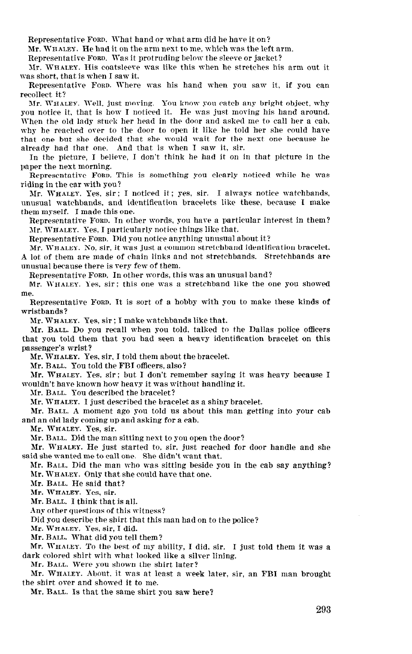Representatire FORD. What hand or what arm did he hare it on?

Mr. WHALEY. He had it on the arm next to me, which was the left arm.

Representative FORD. Was it protruding below the sleeve or jacket?

Nr. WHALEY. His coatsleeve was like this when he stretches his arm out it was short, that is when I saw it.

Representative FORD. Where was his hand when you saw it, if you can recollect it?

Mr. WHALEY. Well. just moring. You know you catch any bright object, why you notice it, that is how I noticed it. He was just moving his hand around. When the old lady stuck her head in the door and asked me to call her a cab. why he reached over to the door to open it like he told her she could have that one but she decided that she would wait for the next one because he already had that one. And that is when I saw it, sir.

In the picture, I believe. I don't think he had it on in that picture in the paper the next morning.

Representative FORD. This is something you clearly noticed while he was riding in the car with you?

3Ir. WHALEY. Yes, sir: I noticed it; yes, sir. I always notice watchbands, unusual watchbands. and identification bracelets like these, because I make them myself. I made this one.

Representative FORD. In other words, you hare a particular interest in them? Mr. WHALEY. Yes. I particularly notice things like that.

Representative FORD. Did you notice anything unusual about it?

Mr. WHALEP. So, sir. it was just a common stretchband identification bracelet. A lot of them are made of chain links and not stretchbands. Stretchbands are unusual because there is very few of them.

Representative FORD. In other words, this was an unusual band?

Mr. WHALEY. Yes. sir: this one was a stretchband like the one you showed me.

Representative FORD. It is sort of a hobby with you to make these kinds of wristbands?

Mr. WHALEY. Yes, sir; I make watchbands like that.

Nr. BALL. Do you recall when you told, talked to the Dallas police officers that you told them that you had seen a heavy identification bracelet on this passenger's wrist?

Mr. WHALEY. Yes, sir, I told them about the bracelet.

Mr. BALL. You told the FBI officers, also?

Mr. WHALEY. Yes, sir; but I don't remember saying it was heavy because I wouldn't hare known how heavy it was without handling it.

Mr. BALL. You described the bracelet?

Mr. WHALEY. I just described the bracelet as a shiny bracelet.

Mr. BALL. A moment ago you told us about this man getting into your cab and an old lady coming up and asking for a cab.

Mr. WHALEY. Yes, sir.

 $M_{\rm H}$   $\sim$   $M_{\rm H}$  and  $\sim$   $M_{\rm H}$  and door  $\sim$   $M_{\rm H}$  and door  $\sim$ 

 $\mathbf{m}$ . Bush  $\mathbf{m}$  in the main stating first to, you open the above. Mr. WHALEY. He just started to, sir, just reached for door handle and she said she wanted me to call one. She didn't want that. In she wanted me to can one. She didn't want that.

 $m<sub>L</sub>$ . Date,  $m<sub>U</sub>$  the man who was sitting beside Mr. WHALEY. Only that she could have that one.<br>Mr. BALL. He said that?

MI. DALL. He said the

MI. WHALEL.  $108$ , SII.

Mr. BALL. I think that is all.

Any other questions of this witness?

Did you describe the shirt that this man had on to the police?

Mr. WHALEY. Yes. sir. I did.

Mr. BALL. What did you tell them?

Mr. WHALEY. To the best of my ability, I did, sir. I just told them it was a dark colored shirt with what looked like a silver lining.

Mr. BALL. Were you shown the shirt later?

Mr. WHALEY. About, it was at least a week later, sir, an FBI man brought the shirt over and showed it to me.<br>Mr. Ball. Is that the same shirt you saw here?